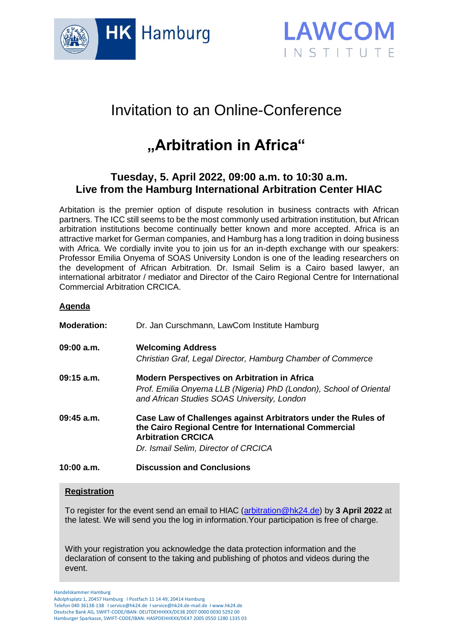



## Invitation to an Online-Conference

# **"Arbitration in Africa"**

### **Tuesday, 5. April 2022, 09:00 a.m. to 10:30 a.m. Live from the Hamburg International Arbitration Center HIAC**

Arbitation is the premier option of dispute resolution in business contracts with African partners. The ICC still seems to be the most commonly used arbitration institution, but African arbitration institutions become continually better known and more accepted. Africa is an attractive market for German companies, and Hamburg has a long tradition in doing business with Africa. We cordially invite you to join us for an in-depth exchange with our speakers: Professor Emilia Onyema of SOAS University London is one of the leading researchers on the development of African Arbitration. Dr. Ismail Selim is a Cairo based lawyer, an international arbitrator / mediator and Director of the Cairo Regional Centre for International Commercial Arbitration CRCICA.

#### **Agenda**

| <b>Moderation:</b> | Dr. Jan Curschmann, LawCom Institute Hamburg                                                                                                                                                 |
|--------------------|----------------------------------------------------------------------------------------------------------------------------------------------------------------------------------------------|
| 09:00 a.m.         | <b>Welcoming Address</b><br>Christian Graf, Legal Director, Hamburg Chamber of Commerce                                                                                                      |
| $09:15$ a.m.       | <b>Modern Perspectives on Arbitration in Africa</b><br>Prof. Emilia Onyema LLB (Nigeria) PhD (London), School of Oriental<br>and African Studies SOAS University, London                     |
| $09:45$ a.m.       | Case Law of Challenges against Arbitrators under the Rules of<br>the Cairo Regional Centre for International Commercial<br><b>Arbitration CRCICA</b><br>Dr. Ismail Selim, Director of CRCICA |
| 10:00 a.m.         | <b>Discussion and Conclusions</b>                                                                                                                                                            |

#### **Registration**

To register for the event send an email to HIAC [\(arbitration@hk24.de\)](mailto:arbitration@hk24.de) by **3 April 2022** at the latest. We will send you the log in information.Your participation is free of charge.

With your registration you acknowledge the data protection information and the declaration of consent to the taking and publishing of photos and videos during the event.

Handelskammer Hamburg Adolphsplatz 1, 20457 Hamburg I Postfach 11 14 49, 20414 Hamburg Telefon 040 36138-138 I service@hk24.de I service@hk24.de-mail.de I www.hk24.de Deutsche Bank AG, SWIFT-CODE/IBAN: DEUTDEHHXXX/DE38 2007 0000 0030 5292 00 Hamburger Sparkasse, SWIFT-CODE/IBAN: HASPDEHHXXX/DE47 2005 0550 1280 1335 03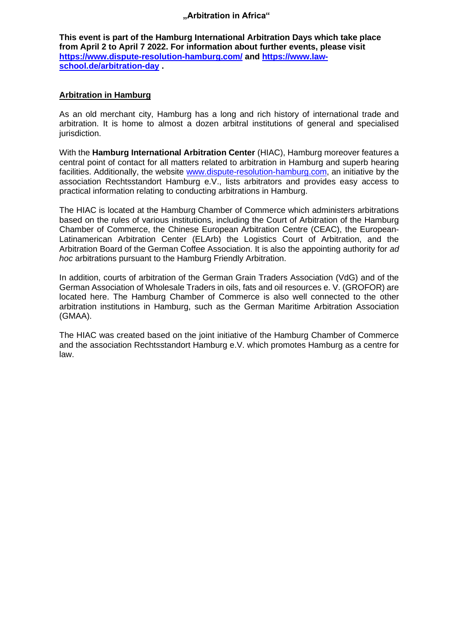#### **"Arbitration in Africa"**

**This event is part of the Hamburg International Arbitration Days which take place from April 2 to April 7 2022. For information about further events, please visit <https://www.dispute-resolution-hamburg.com/> and [https://www.law](https://www.law-school.de/arbitration-day)[school.de/arbitration-day](https://www.law-school.de/arbitration-day) .**

#### **Arbitration in Hamburg**

As an old merchant city, Hamburg has a long and rich history of international trade and arbitration. It is home to almost a dozen arbitral institutions of general and specialised jurisdiction.

With the **Hamburg International Arbitration Center** (HIAC), Hamburg moreover features a central point of contact for all matters related to arbitration in Hamburg and superb hearing facilities. Additionally, the website [www.dispute-resolution-hamburg.com,](http://www.dispute-resolution-hamburg.com/) an initiative by the association Rechtsstandort Hamburg e.V., lists arbitrators and provides easy access to practical information relating to conducting arbitrations in Hamburg.

The HIAC is located at the Hamburg Chamber of Commerce which administers arbitrations based on the rules of various institutions, including the Court of Arbitration of the Hamburg Chamber of Commerce, the Chinese European Arbitration Centre (CEAC), the European-Latinamerican Arbitration Center (ELArb) the Logistics Court of Arbitration, and the Arbitration Board of the German Coffee Association. It is also the appointing authority for *ad hoc* arbitrations pursuant to the Hamburg Friendly Arbitration.

In addition, courts of arbitration of the German Grain Traders Association (VdG) and of the German Association of Wholesale Traders in oils, fats and oil resources e. V. (GROFOR) are located here. The Hamburg Chamber of Commerce is also well connected to the other arbitration institutions in Hamburg, such as the German Maritime Arbitration Association (GMAA).

The HIAC was created based on the joint initiative of the Hamburg Chamber of Commerce and the association Rechtsstandort Hamburg e.V. which promotes Hamburg as a centre for law.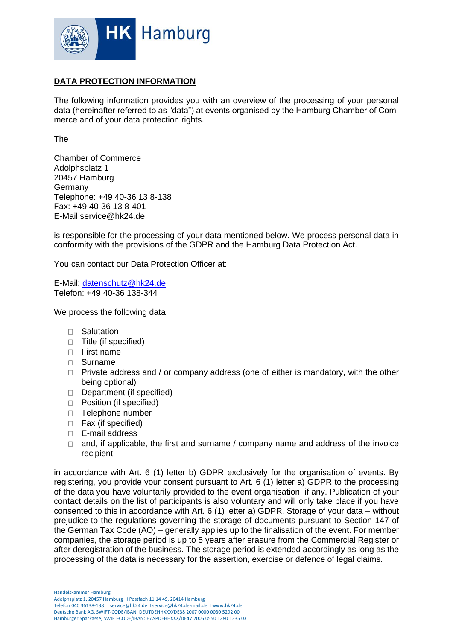

#### **DATA PROTECTION INFORMATION**

The following information provides you with an overview of the processing of your personal data (hereinafter referred to as "data") at events organised by the Hamburg Chamber of Commerce and of your data protection rights.

The

Chamber of Commerce Adolphsplatz 1 20457 Hamburg Germany Telephone: +49 40-36 13 8-138 Fax: +49 40-36 13 8-401 E-Mail service@hk24.de

is responsible for the processing of your data mentioned below. We process personal data in conformity with the provisions of the GDPR and the Hamburg Data Protection Act.

You can contact our Data Protection Officer at:

E-Mail: [datenschutz@hk24.de](mailto:datenschutz@hk24.de) Telefon: +49 40-36 138-344

We process the following data

- □ Salutation
- □ Title (if specified)
- **First name**
- Surname
- $\Box$  Private address and / or company address (one of either is mandatory, with the other being optional)
- Department (if specified)
- **Position (if specified)**
- □ Telephone number
- □ Fax (if specified)
- □ E-mail address
- $\Box$  and, if applicable, the first and surname / company name and address of the invoice recipient

in accordance with Art. 6 (1) letter b) GDPR exclusively for the organisation of events. By registering, you provide your consent pursuant to Art. 6 (1) letter a) GDPR to the processing of the data you have voluntarily provided to the event organisation, if any. Publication of your contact details on the list of participants is also voluntary and will only take place if you have consented to this in accordance with Art. 6 (1) letter a) GDPR. Storage of your data – without prejudice to the regulations governing the storage of documents pursuant to Section 147 of the German Tax Code (AO) – generally applies up to the finalisation of the event. For member companies, the storage period is up to 5 years after erasure from the Commercial Register or after deregistration of the business. The storage period is extended accordingly as long as the processing of the data is necessary for the assertion, exercise or defence of legal claims.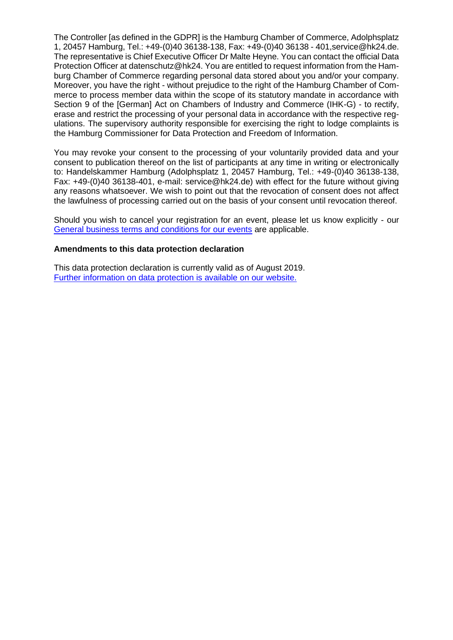The Controller [as defined in the GDPR] is the Hamburg Chamber of Commerce, Adolphsplatz 1, 20457 Hamburg, Tel.: +49-(0)40 36138-138, Fax: +49-(0)40 36138 - 401,service@hk24.de. The representative is Chief Executive Officer Dr Malte Heyne. You can contact the official Data Protection Officer at datenschutz@hk24. You are entitled to request information from the Hamburg Chamber of Commerce regarding personal data stored about you and/or your company. Moreover, you have the right - without prejudice to the right of the Hamburg Chamber of Commerce to process member data within the scope of its statutory mandate in accordance with Section 9 of the [German] Act on Chambers of Industry and Commerce (IHK-G) - to rectify, erase and restrict the processing of your personal data in accordance with the respective regulations. The supervisory authority responsible for exercising the right to lodge complaints is the Hamburg Commissioner for Data Protection and Freedom of Information.

You may revoke your consent to the processing of your voluntarily provided data and your consent to publication thereof on the list of participants at any time in writing or electronically to: Handelskammer Hamburg (Adolphsplatz 1, 20457 Hamburg, Tel.: +49-(0)40 36138-138, Fax: +49-(0)40 36138-401, e-mail: service@hk24.de) with effect for the future without giving any reasons whatsoever. We wish to point out that the revocation of consent does not affect the lawfulness of processing carried out on the basis of your consent until revocation thereof.

Should you wish to cancel your registration for an event, please let us know explicitly - our [General business terms and conditions for our events](https://www.hk24.de/ueber-uns/impressum-nutzungsbedingungen-agbs/veranstaltungsdatenbank-agb-4570056) are applicable.

#### **Amendments to this data protection declaration**

This data protection declaration is currently valid as of August 2019. [Further information on data protection is available on our website.](https://www.hk24.de/ueber-uns/impressum-nutzungsbedingungen-agbs/datenschutz-1140714)